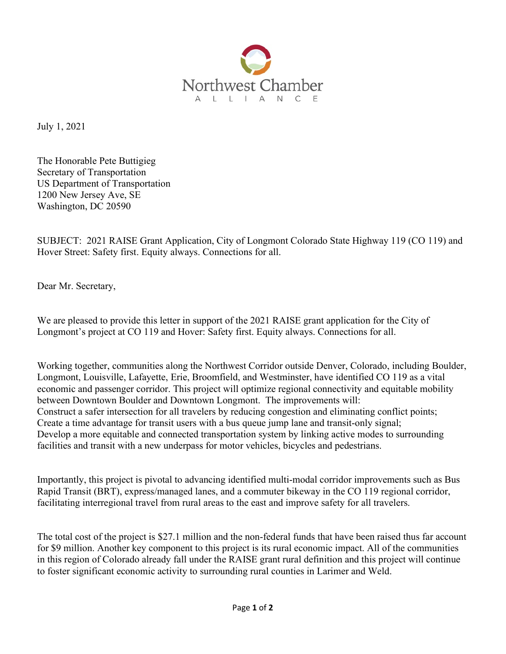

July 1, 2021

The Honorable Pete Buttigieg Secretary of Transportation US Department of Transportation 1200 New Jersey Ave, SE Washington, DC 20590

SUBJECT: 2021 RAISE Grant Application, City of Longmont Colorado State Highway 119 (CO 119) and Hover Street: Safety first. Equity always. Connections for all.

Dear Mr. Secretary,

We are pleased to provide this letter in support of the 2021 RAISE grant application for the City of Longmont's project at CO 119 and Hover: Safety first. Equity always. Connections for all.

Working together, communities along the Northwest Corridor outside Denver, Colorado, including Boulder, Longmont, Louisville, Lafayette, Erie, Broomfield, and Westminster, have identified CO 119 as a vital economic and passenger corridor. This project will optimize regional connectivity and equitable mobility between Downtown Boulder and Downtown Longmont. The improvements will: Construct a safer intersection for all travelers by reducing congestion and eliminating conflict points; Create a time advantage for transit users with a bus queue jump lane and transit-only signal; Develop a more equitable and connected transportation system by linking active modes to surrounding facilities and transit with a new underpass for motor vehicles, bicycles and pedestrians.

Importantly, this project is pivotal to advancing identified multi-modal corridor improvements such as Bus Rapid Transit (BRT), express/managed lanes, and a commuter bikeway in the CO 119 regional corridor, facilitating interregional travel from rural areas to the east and improve safety for all travelers.

The total cost of the project is \$27.1 million and the non-federal funds that have been raised thus far account for \$9 million. Another key component to this project is its rural economic impact. All of the communities in this region of Colorado already fall under the RAISE grant rural definition and this project will continue to foster significant economic activity to surrounding rural counties in Larimer and Weld.